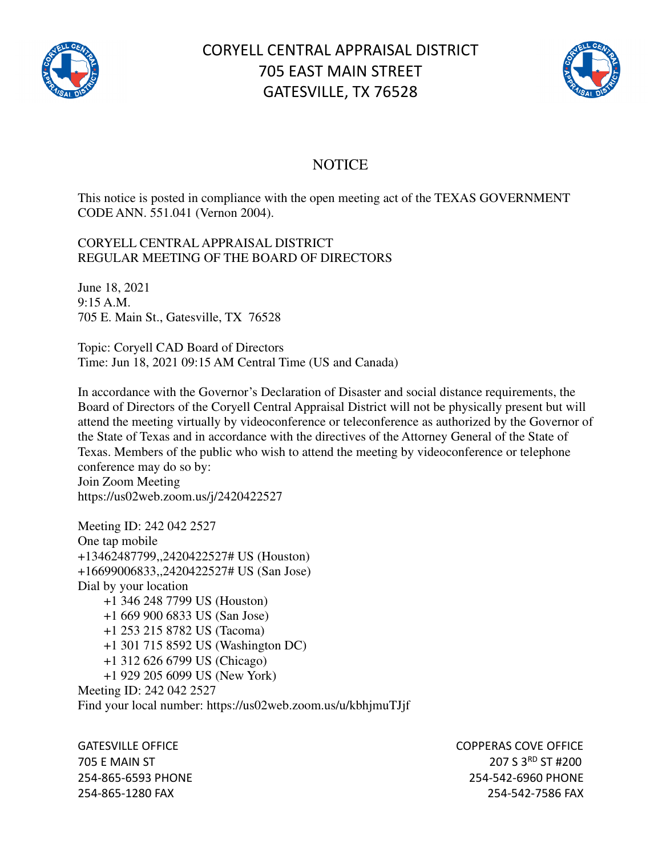

## CORYELL CENTRAL APPRAISAL DISTRICT 705 EAST MAIN STREET GATESVILLE, TX 76528



## **NOTICE**

This notice is posted in compliance with the open meeting act of the TEXAS GOVERNMENT CODE ANN. 551.041 (Vernon 2004).

## CORYELL CENTRAL APPRAISAL DISTRICT REGULAR MEETING OF THE BOARD OF DIRECTORS

June 18, 2021 9:15 A.M. 705 E. Main St., Gatesville, TX 76528

Topic: Coryell CAD Board of Directors Time: Jun 18, 2021 09:15 AM Central Time (US and Canada)

In accordance with the Governor's Declaration of Disaster and social distance requirements, the Board of Directors of the Coryell Central Appraisal District will not be physically present but will attend the meeting virtually by videoconference or teleconference as authorized by the Governor of the State of Texas and in accordance with the directives of the Attorney General of the State of Texas. Members of the public who wish to attend the meeting by videoconference or telephone conference may do so by: Join Zoom Meeting

https://us02web.zoom.us/j/2420422527

Meeting ID: 242 042 2527 One tap mobile +13462487799,,2420422527# US (Houston) +16699006833,,2420422527# US (San Jose) Dial by your location +1 346 248 7799 US (Houston) +1 669 900 6833 US (San Jose) +1 253 215 8782 US (Tacoma) +1 301 715 8592 US (Washington DC) +1 312 626 6799 US (Chicago) +1 929 205 6099 US (New York) Meeting ID: 242 042 2527

Find your local number: https://us02web.zoom.us/u/kbhjmuTJjf

GATESVILLE OFFICE **COPPERAS COVE OF EXAMPLE 2** 705 E MAIN ST 207 S 3RD ST #200 254-865-6593 PHONE 254-542-6960 PHONE 254-865-1280 FAX 254-542-7586 FAX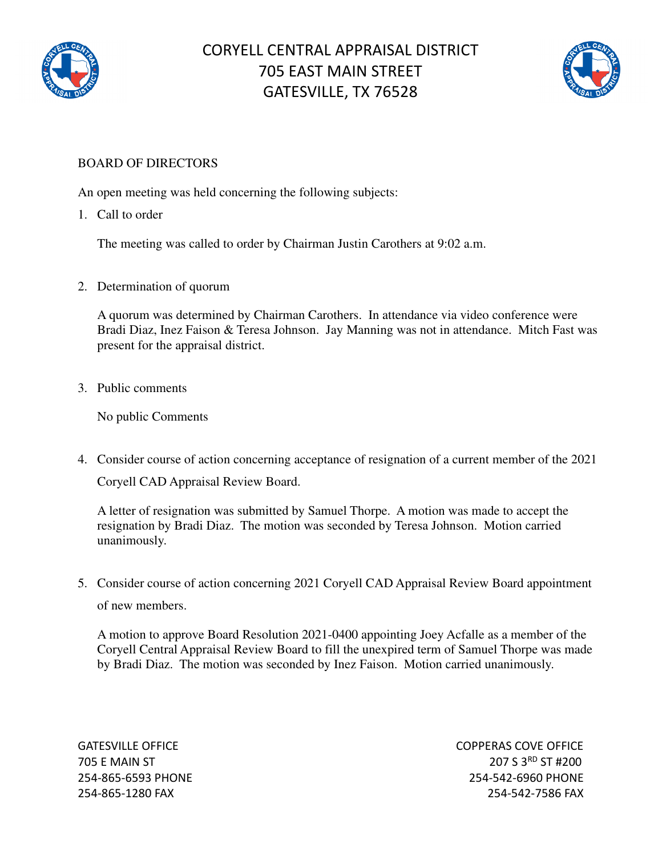



## BOARD OF DIRECTORS

An open meeting was held concerning the following subjects:

1. Call to order

The meeting was called to order by Chairman Justin Carothers at 9:02 a.m.

2. Determination of quorum

A quorum was determined by Chairman Carothers. In attendance via video conference were Bradi Diaz, Inez Faison & Teresa Johnson. Jay Manning was not in attendance. Mitch Fast was present for the appraisal district.

3. Public comments

No public Comments

4. Consider course of action concerning acceptance of resignation of a current member of the 2021 Coryell CAD Appraisal Review Board.

A letter of resignation was submitted by Samuel Thorpe. A motion was made to accept the resignation by Bradi Diaz. The motion was seconded by Teresa Johnson. Motion carried unanimously.

5. Consider course of action concerning 2021 Coryell CAD Appraisal Review Board appointment of new members.

A motion to approve Board Resolution 2021-0400 appointing Joey Acfalle as a member of the Coryell Central Appraisal Review Board to fill the unexpired term of Samuel Thorpe was made by Bradi Diaz. The motion was seconded by Inez Faison. Motion carried unanimously.

GATESVILLE OFFICE **COPPERAS COVE OF EXAMPLE 2** 705 E MAIN ST 207 S 3RD ST #200 254-865-6593 PHONE 254-542-6960 PHONE 254-865-1280 FAX 254-542-7586 FAX